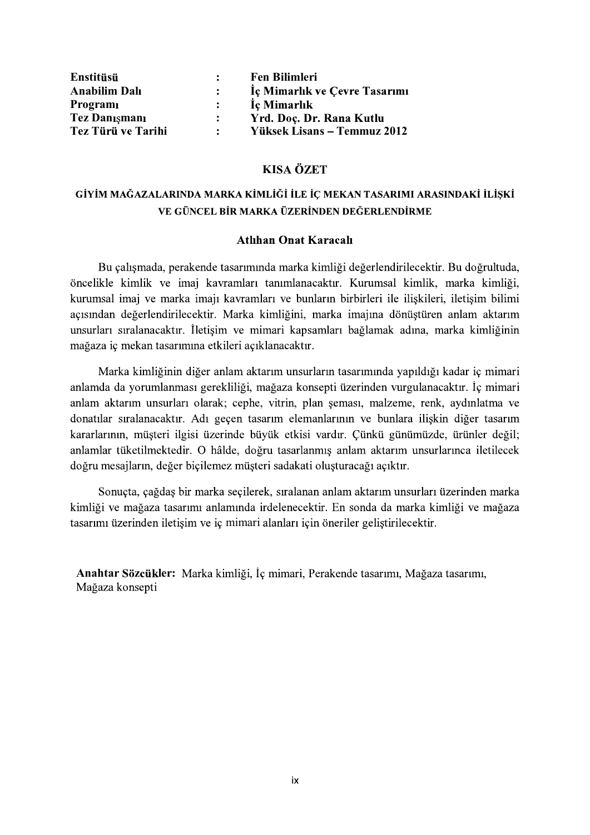| Enstitüsü                 | $\ddot{\cdot}$ | <b>Fen Bilimleri</b>                    |  |
|---------------------------|----------------|-----------------------------------------|--|
|                           | $\ddot{\cdot}$ |                                         |  |
| <b>Anabilim Dalı</b>      |                | Iç Mimarlık ve Çevre Tasarımı           |  |
| Programı<br>Tez Danışmanı | $\ddot{\cdot}$ | İç Mimarlık<br>Yrd. Doç. Dr. Rana Kutlu |  |

# **KISA ÖZET**

# VE GÜNCEL BİR MARKA ÜZERİNDEN DEĞERLENDİRME

### **Atlihan Onat Karacali**

Bu çalışmada, perakende tasarımında marka kimliği değerlendirilecektir. Bu doğrultuda, öncelikle kimlik ve imaj kavramları tanımlanacaktır. Kurumsal kimlik, marka kimliği, kurumsal imaj ve marka imajı kavramları ve bunların birbirleri ile ilişkileri, iletişim bilimi açısından değerlendirilecektir. Marka kimliğini, marka imajına dönüştüren anlam aktarım unsurları sıralanacaktır. İletişim ve mimari kapsamları bağlamak adına, marka kimliğinin mağaza iç mekan tasarımına etkileri açıklanacaktır.

Marka kimliğinin diğer anlam aktarım unsurların tasarımında yapıldığı kadar iç mimari anlamda da yorumlanması gerekliliği, mağaza konsepti üzerinden vurgulanacaktır. İç mimari anlam aktarım unsurları olarak; cephe, vitrin, plan seması, malzeme, renk, aydınlatma ve donatılar sıralanacaktır. Adı geçen tasarım elemanlarının ve bunlara iliskin diğer tasarım kararlarının, müşteri ilgisi üzerinde büyük etkisi vardır. Çünkü günümüzde, ürünler değil; anlamlar tüketilmektedir. O hâlde, doğru tasarlanmış anlam aktarım unsurlarınca iletilecek doğru mesajların, değer biçilemez müşteri sadakati oluşturacağı açıktır.

Sonuçta, çağdaş bir marka seçilerek, sıralanan anlam aktarım unsurları üzerinden marka kimliği ve mağaza tasarımı anlamında irdelenecektir. En sonda da marka kimliği ve mağaza tasarımı üzerinden iletişim ve iç mimari alanları için öneriler geliştirilecektir.

Anahtar Sözcükler: Marka kimliği, İç mimari, Perakende tasarımı, Mağaza tasarımı, Mağaza konsepti